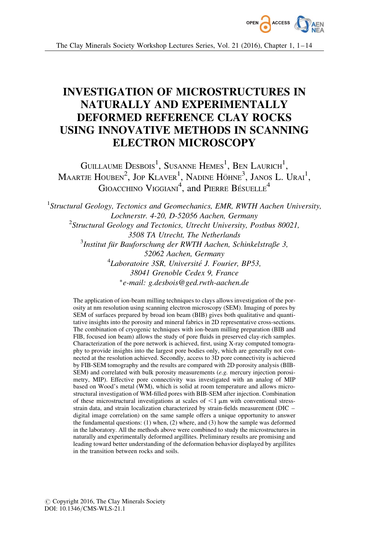

# INVESTIGATION OF MICROSTRUCTURES IN NATURALLY AND EXPERIMENTALLY DEFORMED REFERENCE CLAY ROCKS USING INNOVATIVE METHODS IN SCANNING ELECTRON MICROSCOPY

GUILLAUME  $\mathrm{Dessois}^1$ , Susanne Hemes<sup>1</sup>, Ben Laurich<sup>1</sup>,  $\rm M$ aartje Houben $^2$ , Jop Klaver $^1$ , Nadine Höhne $^3$ , Janos L. Urai $^1,$ GIOACCHINO  $\rm V$ IGGIANI<sup>4</sup>, and PIERRE BÉSUELLE<sup>4</sup>

<sup>1</sup>Structural Geology, Tectonics and Geomechanics, EMR, RWTH Aachen University, Lochnerstr. 4-20, D-52056 Aachen, Germany <sup>2</sup>Structural Geology and Tectonics, Utrecht University, Postbus 80021, 3508 TA Utrecht, The Netherlands  $^3$ Institut für Bauforschung der RWTH Aachen, Schinkelstraße 3, 52062 Aachen, Germany <sup>4</sup>Laboratoire 3SR, Université J. Fourier, BP53, 38041 Grenoble Cedex 9, France -e-mail: g.desbois@ged.rwth-aachen.de

The application of ion-beam milling techniques to clays allows investigation of the porosity at nm resolution using scanning electron microscopy (SEM). Imaging of pores by SEM of surfaces prepared by broad ion beam (BIB) gives both qualitative and quantitative insights into the porosity and mineral fabrics in 2D representative cross-sections. The combination of cryogenic techniques with ion-beam milling preparation (BIB and FIB, focused ion beam) allows the study of pore fluids in preserved clay-rich samples. Characterization of the pore network is achieved, first, using X-ray computed tomography to provide insights into the largest pore bodies only, which are generally not connected at the resolution achieved. Secondly, access to 3D pore connectivity is achieved by FIB-SEM tomography and the results are compared with 2D porosity analysis (BIB-SEM) and correlated with bulk porosity measurements (e.g. mercury injection porosimetry, MIP). Effective pore connectivity was investigated with an analog of MIP based on Wood's metal (WM), which is solid at room temperature and allows microstructural investigation of WM-filled pores with BIB-SEM after injection. Combination of these microstructural investigations at scales of  $\leq 1 \mu m$  with conventional stressstrain data, and strain localization characterized by strain-fields measurement (DIC – digital image correlation) on the same sample offers a unique opportunity to answer the fundamental questions: (1) when, (2) where, and (3) how the sample was deformed in the laboratory. All the methods above were combined to study the microstructures in naturally and experimentally deformed argillites. Preliminary results are promising and leading toward better understanding of the deformation behavior displayed by argillites in the transition between rocks and soils.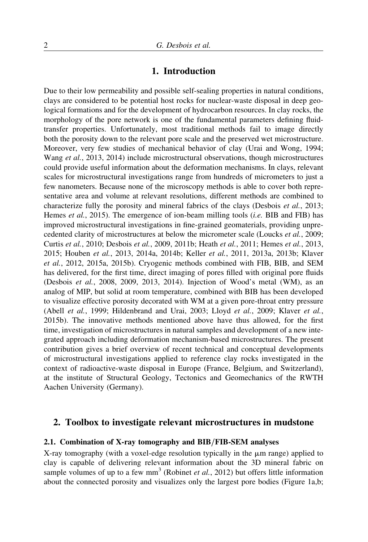# 1. Introduction

Due to their low permeability and possible self-sealing properties in natural conditions, clays are considered to be potential host rocks for nuclear-waste disposal in deep geological formations and for the development of hydrocarbon resources. In clay rocks, the morphology of the pore network is one of the fundamental parameters defining fluidtransfer properties. Unfortunately, most traditional methods fail to image directly both the porosity down to the relevant pore scale and the preserved wet microstructure. Moreover, very few studies of mechanical behavior of clay (Urai and Wong, 1994; Wang et al., 2013, 2014) include microstructural observations, though microstructures could provide useful information about the deformation mechanisms. In clays, relevant scales for microstructural investigations range from hundreds of micrometers to just a few nanometers. Because none of the microscopy methods is able to cover both representative area and volume at relevant resolutions, different methods are combined to characterize fully the porosity and mineral fabrics of the clays (Desbois et al., 2013; Hemes *et al.*, 2015). The emergence of ion-beam milling tools *(i.e.* BIB and FIB) has improved microstructural investigations in fine-grained geomaterials, providing unprecedented clarity of microstructures at below the micrometer scale (Loucks et al., 2009; Curtis et al., 2010; Desbois et al., 2009, 2011b; Heath et al., 2011; Hemes et al., 2013, 2015; Houben et al., 2013, 2014a, 2014b; Keller et al., 2011, 2013a, 2013b; Klaver et al., 2012, 2015a, 2015b). Cryogenic methods combined with FIB, BIB, and SEM has delivered, for the first time, direct imaging of pores filled with original pore fluids (Desbois et al., 2008, 2009, 2013, 2014). Injection of Wood's metal (WM), as an analog of MIP, but solid at room temperature, combined with BIB has been developed to visualize effective porosity decorated with WM at a given pore-throat entry pressure (Abell et al., 1999; Hildenbrand and Urai, 2003; Lloyd et al., 2009; Klaver et al., 2015b). The innovative methods mentioned above have thus allowed, for the first time, investigation of microstructures in natural samples and development of a new integrated approach including deformation mechanism-based microstructures. The present contribution gives a brief overview of recent technical and conceptual developments of microstructural investigations applied to reference clay rocks investigated in the context of radioactive-waste disposal in Europe (France, Belgium, and Switzerland), at the institute of Structural Geology, Tectonics and Geomechanics of the RWTH Aachen University (Germany).

### 2. Toolbox to investigate relevant microstructures in mudstone

#### 2.1. Combination of X-ray tomography and BIB/FIB-SEM analyses

X-ray tomography (with a voxel-edge resolution typically in the  $\mu$ m range) applied to clay is capable of delivering relevant information about the 3D mineral fabric on sample volumes of up to a few  $mm^3$  (Robinet *et al.*, 2012) but offers little information about the connected porosity and visualizes only the largest pore bodies (Figure 1a,b;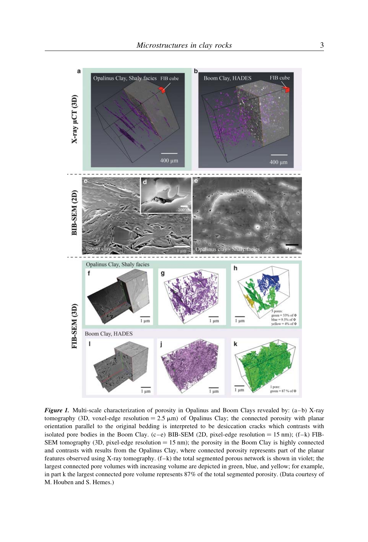

Figure 1. Multi-scale characterization of porosity in Opalinus and Boom Clays revealed by:  $(a-b)$  X-ray tomography (3D, voxel-edge resolution =  $2.5 \mu m$ ) of Opalinus Clay; the connected porosity with planar orientation parallel to the original bedding is interpreted to be desiccation cracks which contrasts with isolated pore bodies in the Boom Clay. (c–e) BIB-SEM (2D, pixel-edge resolution = 15 nm); (f–k) FIB-SEM tomography (3D, pixel-edge resolution  $= 15$  nm); the porosity in the Boom Clay is highly connected and contrasts with results from the Opalinus Clay, where connected porosity represents part of the planar features observed using X-ray tomography. (f–k) the total segmented porous network is shown in violet; the largest connected pore volumes with increasing volume are depicted in green, blue, and yellow; for example, in part k the largest connected pore volume represents 87% of the total segmented porosity. (Data courtesy of M. Houben and S. Hemes.)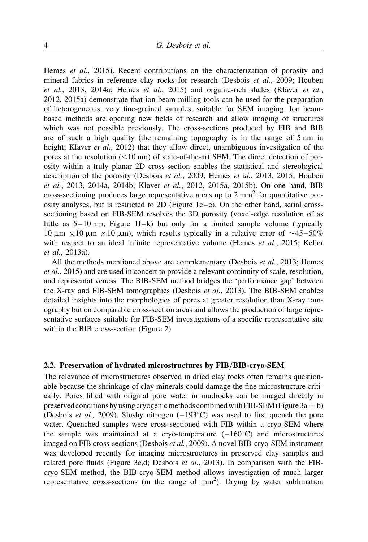Hemes et al., 2015). Recent contributions on the characterization of porosity and mineral fabrics in reference clay rocks for research (Desbois et al., 2009; Houben et al., 2013, 2014a; Hemes et al., 2015) and organic-rich shales (Klaver et al., 2012, 2015a) demonstrate that ion-beam milling tools can be used for the preparation of heterogeneous, very fine-grained samples, suitable for SEM imaging. Ion beambased methods are opening new fields of research and allow imaging of structures which was not possible previously. The cross-sections produced by FIB and BIB are of such a high quality (the remaining topography is in the range of 5 nm in height; Klaver *et al.*, 2012) that they allow direct, unambiguous investigation of the pores at the resolution  $(<10 \text{ nm}$ ) of state-of-the-art SEM. The direct detection of porosity within a truly planar 2D cross-section enables the statistical and stereological description of the porosity (Desbois et al., 2009; Hemes et al., 2013, 2015; Houben et al., 2013, 2014a, 2014b; Klaver et al., 2012, 2015a, 2015b). On one hand, BIB cross-sectioning produces large representative areas up to  $2 \text{ mm}^2$  for quantitative porosity analyses, but is restricted to 2D (Figure  $1c-e$ ). On the other hand, serial crosssectioning based on FIB-SEM resolves the 3D porosity (voxel-edge resolution of as little as  $5-10$  nm; Figure 1f–k) but only for a limited sample volume (typically 10  $\mu$ m × 10  $\mu$ m × 10  $\mu$ m), which results typically in a relative error of ~45–50% with respect to an ideal infinite representative volume (Hemes et al., 2015; Keller et al., 2013a).

All the methods mentioned above are complementary (Desbois *et al.*, 2013; Hemes et al., 2015) and are used in concert to provide a relevant continuity of scale, resolution, and representativeness. The BIB-SEM method bridges the 'performance gap' between the X-ray and FIB-SEM tomographies (Desbois et al., 2013). The BIB-SEM enables detailed insights into the morphologies of pores at greater resolution than X-ray tomography but on comparable cross-section areas and allows the production of large representative surfaces suitable for FIB-SEM investigations of a specific representative site within the BIB cross-section (Figure 2).

#### 2.2. Preservation of hydrated microstructures by FIB/BIB-cryo-SEM

The relevance of microstructures observed in dried clay rocks often remains questionable because the shrinkage of clay minerals could damage the fine microstructure critically. Pores filled with original pore water in mudrocks can be imaged directly in preserved conditions by using cryogenic methods combined with FIB-SEM (Figure 3a + b) (Desbois *et al.*, 2009). Slushy nitrogen  $(-193^{\circ}C)$  was used to first quench the pore water. Quenched samples were cross-sectioned with FIB within a cryo-SEM where the sample was maintained at a cryo-temperature  $(-160^{\circ}C)$  and microstructures imaged on FIB cross-sections (Desbois et al., 2009). A novel BIB-cryo-SEM instrument was developed recently for imaging microstructures in preserved clay samples and related pore fluids (Figure 3c,d; Desbois et al., 2013). In comparison with the FIBcryo-SEM method, the BIB-cryo-SEM method allows investigation of much larger representative cross-sections (in the range of  $mm<sup>2</sup>$ ). Drying by water sublimation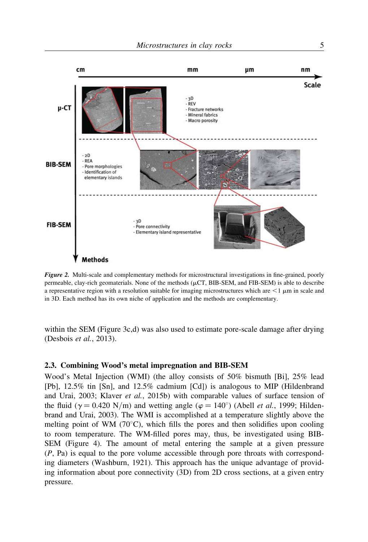

Figure 2. Multi-scale and complementary methods for microstructural investigations in fine-grained, poorly permeable, clay-rich geomaterials. None of the methods  $(\mu CT, BIB-SEM, and FIB-SEM)$  is able to describe a representative region with a resolution suitable for imaging microstructures which are  $\leq 1 \,\mu\text{m}$  in scale and in 3D. Each method has its own niche of application and the methods are complementary.

within the SEM (Figure 3c,d) was also used to estimate pore-scale damage after drying (Desbois et al., 2013).

#### 2.3. Combining Wood's metal impregnation and BIB-SEM

Wood's Metal Injection (WMI) (the alloy consists of 50% bismuth [Bi], 25% lead [Pb], 12.5% tin [Sn], and 12.5% cadmium [Cd]) is analogous to MIP (Hildenbrand and Urai, 2003; Klaver et al., 2015b) with comparable values of surface tension of the fluid ( $\gamma = 0.420$  N/m) and wetting angle ( $\varphi = 140^{\circ}$ ) (Abell *et al.*, 1999; Hildenbrand and Urai, 2003). The WMI is accomplished at a temperature slightly above the melting point of WM  $(70^{\circ}C)$ , which fills the pores and then solidifies upon cooling to room temperature. The WM-filled pores may, thus, be investigated using BIB-SEM (Figure 4). The amount of metal entering the sample at a given pressure  $(P, Pa)$  is equal to the pore volume accessible through pore throats with corresponding diameters (Washburn, 1921). This approach has the unique advantage of providing information about pore connectivity (3D) from 2D cross sections, at a given entry pressure.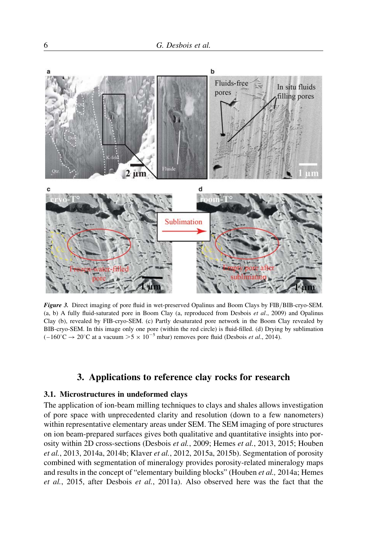

Figure 3. Direct imaging of pore fluid in wet-preserved Opalinus and Boom Clays by FIB/BIB-cryo-SEM. (a, b) A fully fluid-saturated pore in Boom Clay (a, reproduced from Desbois et al., 2009) and Opalinus Clay (b), revealed by FIB-cryo-SEM. (c) Partly desaturated pore network in the Boom Clay revealed by BIB-cryo-SEM. In this image only one pore (within the red circle) is fluid-filled. (d) Drying by sublimation  $(-160^{\circ}\text{C} \rightarrow 20^{\circ}\text{C} \text{ at a vacuum } > 5 \times 10^{-5} \text{ mbar})$  removes pore fluid (Desbois *et al.*, 2014).

# 3. Applications to reference clay rocks for research

#### 3.1. Microstructures in undeformed clays

The application of ion-beam milling techniques to clays and shales allows investigation of pore space with unprecedented clarity and resolution (down to a few nanometers) within representative elementary areas under SEM. The SEM imaging of pore structures on ion beam-prepared surfaces gives both qualitative and quantitative insights into porosity within 2D cross-sections (Desbois et al., 2009; Hemes et al., 2013, 2015; Houben et al., 2013, 2014a, 2014b; Klaver et al., 2012, 2015a, 2015b). Segmentation of porosity combined with segmentation of mineralogy provides porosity-related mineralogy maps and results in the concept of "elementary building blocks" (Houben et al., 2014a; Hemes et al., 2015, after Desbois et al., 2011a). Also observed here was the fact that the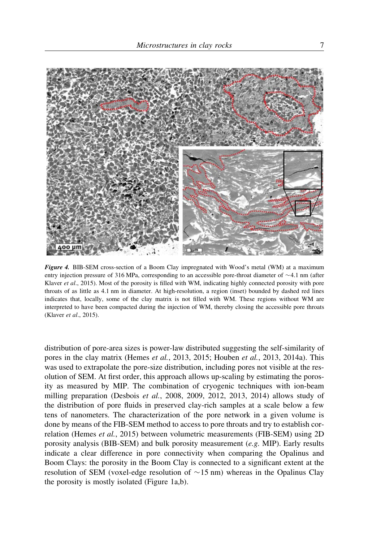

Figure 4. BIB-SEM cross-section of a Boom Clay impregnated with Wood's metal (WM) at a maximum entry injection pressure of 316 MPa, corresponding to an accessible pore-throat diameter of  $\sim$ 4.1 nm (after Klaver et al., 2015). Most of the porosity is filled with WM, indicating highly connected porosity with pore throats of as little as 4.1 nm in diameter. At high-resolution, a region (inset) bounded by dashed red lines indicates that, locally, some of the clay matrix is not filled with WM. These regions without WM are interpreted to have been compacted during the injection of WM, thereby closing the accessible pore throats (Klaver et al., 2015).

distribution of pore-area sizes is power-law distributed suggesting the self-similarity of pores in the clay matrix (Hemes et al., 2013, 2015; Houben et al., 2013, 2014a). This was used to extrapolate the pore-size distribution, including pores not visible at the resolution of SEM. At first order, this approach allows up-scaling by estimating the porosity as measured by MIP. The combination of cryogenic techniques with ion-beam milling preparation (Desbois *et al.*, 2008, 2009, 2012, 2013, 2014) allows study of the distribution of pore fluids in preserved clay-rich samples at a scale below a few tens of nanometers. The characterization of the pore network in a given volume is done by means of the FIB-SEM method to access to pore throats and try to establish correlation (Hemes et al., 2015) between volumetric measurements (FIB-SEM) using 2D porosity analysis (BIB-SEM) and bulk porosity measurement (e.g. MIP). Early results indicate a clear difference in pore connectivity when comparing the Opalinus and Boom Clays: the porosity in the Boom Clay is connected to a significant extent at the resolution of SEM (voxel-edge resolution of  $\sim$  15 nm) whereas in the Opalinus Clay the porosity is mostly isolated (Figure 1a,b).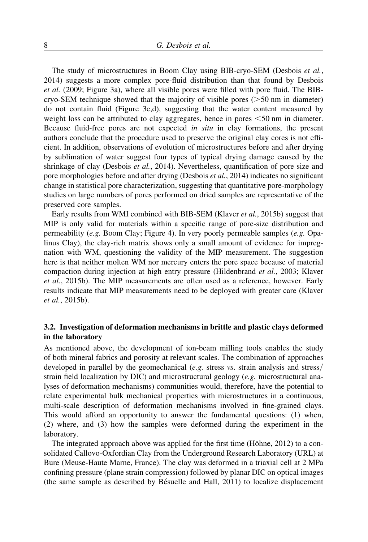The study of microstructures in Boom Clay using BIB-cryo-SEM (Desbois et al., 2014) suggests a more complex pore-fluid distribution than that found by Desbois et al. (2009; Figure 3a), where all visible pores were filled with pore fluid. The BIBcryo-SEM technique showed that the majority of visible pores ( $>50$  nm in diameter) do not contain fluid (Figure 3c,d), suggesting that the water content measured by weight loss can be attributed to clay aggregates, hence in pores  $\leq 50$  nm in diameter. Because fluid-free pores are not expected in situ in clay formations, the present authors conclude that the procedure used to preserve the original clay cores is not efficient. In addition, observations of evolution of microstructures before and after drying by sublimation of water suggest four types of typical drying damage caused by the shrinkage of clay (Desbois et al., 2014). Nevertheless, quantification of pore size and pore morphologies before and after drying (Desbois et al., 2014) indicates no significant change in statistical pore characterization, suggesting that quantitative pore-morphology studies on large numbers of pores performed on dried samples are representative of the preserved core samples.

Early results from WMI combined with BIB-SEM (Klaver et al., 2015b) suggest that MIP is only valid for materials within a specific range of pore-size distribution and permeability (e.g. Boom Clay; Figure 4). In very poorly permeable samples (e.g. Opalinus Clay), the clay-rich matrix shows only a small amount of evidence for impregnation with WM, questioning the validity of the MIP measurement. The suggestion here is that neither molten WM nor mercury enters the pore space because of material compaction during injection at high entry pressure (Hildenbrand et al., 2003; Klaver et al., 2015b). The MIP measurements are often used as a reference, however. Early results indicate that MIP measurements need to be deployed with greater care (Klaver et al., 2015b).

### 3.2. Investigation of deformation mechanisms in brittle and plastic clays deformed in the laboratory

As mentioned above, the development of ion-beam milling tools enables the study of both mineral fabrics and porosity at relevant scales. The combination of approaches developed in parallel by the geomechanical (*e.g.* stress  $vs.$  strain analysis and stress/ strain field localization by DIC) and microstructural geology (e.g. microstructural analyses of deformation mechanisms) communities would, therefore, have the potential to relate experimental bulk mechanical properties with microstructures in a continuous, multi-scale description of deformation mechanisms involved in fine-grained clays. This would afford an opportunity to answer the fundamental questions: (1) when, (2) where, and (3) how the samples were deformed during the experiment in the laboratory.

The integrated approach above was applied for the first time (Höhne, 2012) to a consolidated Callovo-Oxfordian Clay from the Underground Research Laboratory (URL) at Bure (Meuse-Haute Marne, France). The clay was deformed in a triaxial cell at 2 MPa confining pressure (plane strain compression) followed by planar DIC on optical images (the same sample as described by Bésuelle and Hall,  $2011$ ) to localize displacement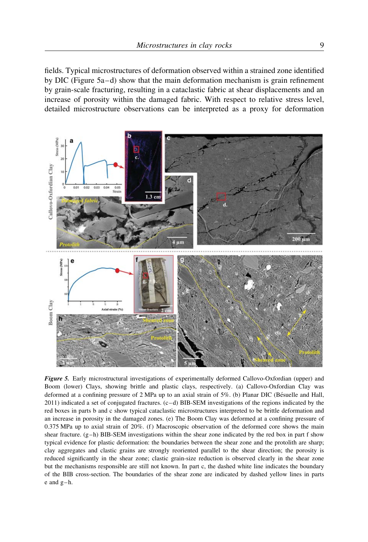fields. Typical microstructures of deformation observed within a strained zone identified by DIC (Figure 5a–d) show that the main deformation mechanism is grain refinement by grain-scale fracturing, resulting in a cataclastic fabric at shear displacements and an increase of porosity within the damaged fabric. With respect to relative stress level, detailed microstructure observations can be interpreted as a proxy for deformation



Figure 5. Early microstructural investigations of experimentally deformed Callovo-Oxfordian (upper) and Boom (lower) Clays, showing brittle and plastic clays, respectively. (a) Callovo-Oxfordian Clay was deformed at a confining pressure of  $2 \text{ MPa}$  up to an axial strain of  $5\%$ . (b) Planar DIC (Bésuelle and Hall, 2011) indicated a set of conjugated fractures. (c–d) BIB-SEM investigations of the regions indicated by the red boxes in parts b and c show typical cataclastic microstructures interpreted to be brittle deformation and an increase in porosity in the damaged zones. (e) The Boom Clay was deformed at a confining pressure of 0.375 MPa up to axial strain of 20%. (f) Macroscopic observation of the deformed core shows the main shear fracture.  $(g-h)$  BIB-SEM investigations within the shear zone indicated by the red box in part f show typical evidence for plastic deformation: the boundaries between the shear zone and the protolith are sharp; clay aggregates and clastic grains are strongly reoriented parallel to the shear direction; the porosity is reduced significantly in the shear zone; clastic grain-size reduction is observed clearly in the shear zone but the mechanisms responsible are still not known. In part c, the dashed white line indicates the boundary of the BIB cross-section. The boundaries of the shear zone are indicated by dashed yellow lines in parts e and g–h.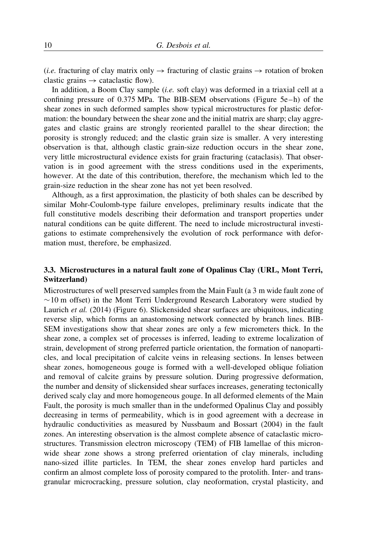(*i.e.* fracturing of clay matrix only  $\rightarrow$  fracturing of clastic grains  $\rightarrow$  rotation of broken clastic grains  $\rightarrow$  cataclastic flow).

In addition, a Boom Clay sample (i.e. soft clay) was deformed in a triaxial cell at a confining pressure of 0.375 MPa. The BIB-SEM observations (Figure 5e–h) of the shear zones in such deformed samples show typical microstructures for plastic deformation: the boundary between the shear zone and the initial matrix are sharp; clay aggregates and clastic grains are strongly reoriented parallel to the shear direction; the porosity is strongly reduced; and the clastic grain size is smaller. A very interesting observation is that, although clastic grain-size reduction occurs in the shear zone, very little microstructural evidence exists for grain fracturing (cataclasis). That observation is in good agreement with the stress conditions used in the experiments, however. At the date of this contribution, therefore, the mechanism which led to the grain-size reduction in the shear zone has not yet been resolved.

Although, as a first approximation, the plasticity of both shales can be described by similar Mohr-Coulomb-type failure envelopes, preliminary results indicate that the full constitutive models describing their deformation and transport properties under natural conditions can be quite different. The need to include microstructural investigations to estimate comprehensively the evolution of rock performance with deformation must, therefore, be emphasized.

# 3.3. Microstructures in a natural fault zone of Opalinus Clay (URL, Mont Terri, Switzerland)

Microstructures of well preserved samples from the Main Fault (a 3 m wide fault zone of  $\sim$  10 m offset) in the Mont Terri Underground Research Laboratory were studied by Laurich et al. (2014) (Figure 6). Slickensided shear surfaces are ubiquitous, indicating reverse slip, which forms an anastomosing network connected by branch lines. BIB-SEM investigations show that shear zones are only a few micrometers thick. In the shear zone, a complex set of processes is inferred, leading to extreme localization of strain, development of strong preferred particle orientation, the formation of nanoparticles, and local precipitation of calcite veins in releasing sections. In lenses between shear zones, homogeneous gouge is formed with a well-developed oblique foliation and removal of calcite grains by pressure solution. During progressive deformation, the number and density of slickensided shear surfaces increases, generating tectonically derived scaly clay and more homogeneous gouge. In all deformed elements of the Main Fault, the porosity is much smaller than in the undeformed Opalinus Clay and possibly decreasing in terms of permeability, which is in good agreement with a decrease in hydraulic conductivities as measured by Nussbaum and Bossart (2004) in the fault zones. An interesting observation is the almost complete absence of cataclastic microstructures. Transmission electron microscopy (TEM) of FIB lamellae of this micronwide shear zone shows a strong preferred orientation of clay minerals, including nano-sized illite particles. In TEM, the shear zones envelop hard particles and confirm an almost complete loss of porosity compared to the protolith. Inter- and transgranular microcracking, pressure solution, clay neoformation, crystal plasticity, and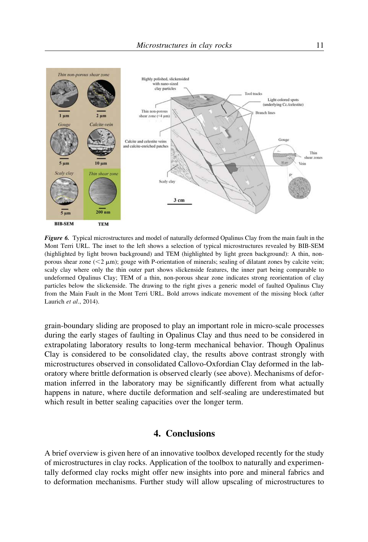

Figure 6. Typical microstructures and model of naturally deformed Opalinus Clay from the main fault in the Mont Terri URL. The inset to the left shows a selection of typical microstructures revealed by BIB-SEM (highlighted by light brown background) and TEM (highlighted by light green background): A thin, nonporous shear zone  $(< 2 \mu m)$ ; gouge with P-orientation of minerals; sealing of dilatant zones by calcite vein; scaly clay where only the thin outer part shows slickenside features, the inner part being comparable to undeformed Opalinus Clay; TEM of a thin, non-porous shear zone indicates strong reorientation of clay particles below the slickenside. The drawing to the right gives a generic model of faulted Opalinus Clay from the Main Fault in the Mont Terri URL. Bold arrows indicate movement of the missing block (after Laurich et al., 2014).

grain-boundary sliding are proposed to play an important role in micro-scale processes during the early stages of faulting in Opalinus Clay and thus need to be considered in extrapolating laboratory results to long-term mechanical behavior. Though Opalinus Clay is considered to be consolidated clay, the results above contrast strongly with microstructures observed in consolidated Callovo-Oxfordian Clay deformed in the laboratory where brittle deformation is observed clearly (see above). Mechanisms of deformation inferred in the laboratory may be significantly different from what actually happens in nature, where ductile deformation and self-sealing are underestimated but which result in better sealing capacities over the longer term.

# 4. Conclusions

A brief overview is given here of an innovative toolbox developed recently for the study of microstructures in clay rocks. Application of the toolbox to naturally and experimentally deformed clay rocks might offer new insights into pore and mineral fabrics and to deformation mechanisms. Further study will allow upscaling of microstructures to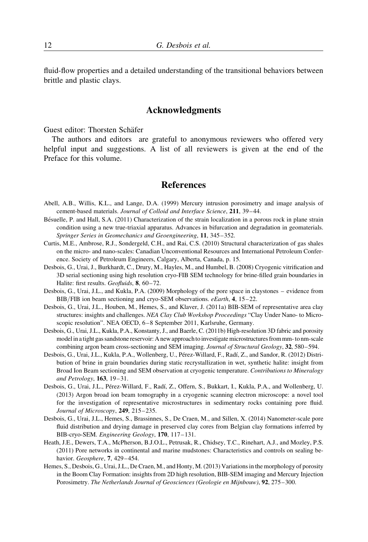fluid-flow properties and a detailed understanding of the transitional behaviors between brittle and plastic clays.

# Acknowledgments

Guest editor: Thorsten Schäfer

The authors and editors are grateful to anonymous reviewers who offered very helpful input and suggestions. A list of all reviewers is given at the end of the Preface for this volume.

#### **References**

- Abell, A.B., Willis, K.L., and Lange, D.A. (1999) Mercury intrusion porosimetry and image analysis of cement-based materials. Journal of Colloid and Interface Science, 211, 39–44.
- Bésuelle, P. and Hall, S.A. (2011) Characterization of the strain localization in a porous rock in plane strain condition using a new true-triaxial apparatus. Advances in bifurcation and degradation in geomaterials. Springer Series in Geomechanics and Geoengineering, 11, 345–352.
- Curtis, M.E., Ambrose, R.J., Sondergeld, C.H., and Rai, C.S. (2010) Structural characterization of gas shales on the micro- and nano-scales: Canadian Unconventional Resources and International Petroleum Conference. Society of Petroleum Engineers, Calgary, Alberta, Canada, p. 15.
- Desbois, G., Urai, J., Burkhardt, C., Drury, M., Hayles, M., and Humbel, B. (2008) Cryogenic vitrification and 3D serial sectioning using high resolution cryo-FIB SEM technology for brine-filled grain boundaries in Halite: first results. Geofluids, 8, 60-72.
- Desbois, G., Urai, J.L., and Kukla, P.A. (2009) Morphology of the pore space in claystones evidence from BIB/FIB ion beam sectioning and cryo-SEM observations. *eEarth*, 4, 15–22.
- Desbois, G., Urai, J.L., Houben, M., Hemes, S., and Klaver, J. (2011a) BIB-SEM of representative area clay structures: insights and challenges. NEA Clay Club Workshop Proceedings "Clay Under Nano- to Microscopic resolution". NEA OECD, 6–8 September 2011, Karlsruhe, Germany.
- Desbois, G., Urai, J.L., Kukla, P.A., Konstanty, J., and Baerle, C. (2011b) High-resolution 3D fabric and porosity model in a tight gas sandstone reservoir: A new approach to investigate microstructures from mm- to nm-scale combining argon beam cross-sectioning and SEM imaging. Journal of Structural Geology, 32, 580–594.
- Desbois, G., Urai, J.L., Kukla, P.A., Wollenberg, U., Pérez-Willard, F., Radí, Z., and Sandor, R. (2012) Distribution of brine in grain boundaries during static recrystallization in wet, synthetic halite: insight from Broad Ion Beam sectioning and SEM observation at cryogenic temperature. Contributions to Mineralogy and Petrology, 163, 19–31.
- Desbois, G., Urai, J.L., Pérez-Willard, F., Radí, Z., Offern, S., Bukkart, I., Kukla, P.A., and Wollenberg, U. (2013) Argon broad ion beam tomography in a cryogenic scanning electron microscope: a novel tool for the investigation of representative microstructures in sedimentary rocks containing pore fluid. Journal of Microscopy, 249, 215–235.
- Desbois, G., Urai, J.L., Hemes, S., Brassinnes, S., De Craen, M., and Sillen, X. (2014) Nanometer-scale pore fluid distribution and drying damage in preserved clay cores from Belgian clay formations inferred by BIB-cryo-SEM. Engineering Geology, 170, 117–131.
- Heath, J.E., Dewers, T.A., McPherson, B.J.O.L., Petrusak, R., Chidsey, T.C., Rinehart, A.J., and Mozley, P.S. (2011) Pore networks in continental and marine mudstones: Characteristics and controls on sealing behavior. Geosphere, 7, 429–454.
- Hemes, S., Desbois, G., Urai, J.L., De Craen, M., and Honty, M. (2013) Variations in the morphology of porosity in the Boom Clay Formation: insights from 2D high resolution, BIB-SEM imaging and Mercury Injection Porosimetry. The Netherlands Journal of Geosciences (Geologie en Mijnbouw), 92, 275–300.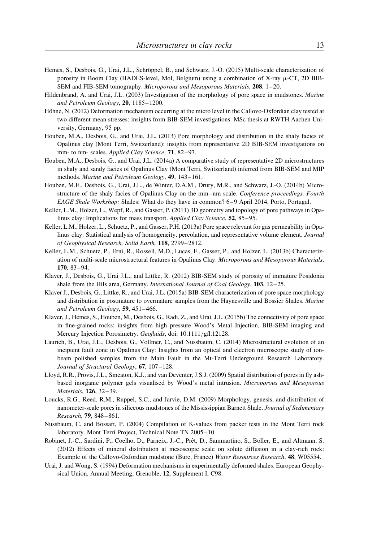- Hemes, S., Desbois, G., Urai, J.L., Schröppel, B., and Schwarz, J.-O. (2015) Multi-scale characterization of porosity in Boom Clay (HADES-level, Mol, Belgium) using a combination of X-ray  $\mu$ -CT, 2D BIB-SEM and FIB-SEM tomography. Microporous and Mesoporous Materials, 208, 1–20.
- Hildenbrand, A. and Urai, J.L. (2003) Investigation of the morphology of pore space in mudstones. Marine and Petroleum Geology, 20, 1185–1200.
- Höhne, N. (2012) Deformation mechanism occurring at the micro level in the Callovo-Oxfordian clay tested at two different mean stresses: insights from BIB-SEM investigations. MSc thesis at RWTH Aachen University, Germany, 95 pp.
- Houben, M.A., Desbois, G., and Urai, J.L. (2013) Pore morphology and distribution in the shaly facies of Opalinus clay (Mont Terri, Switzerland): insights from representative 2D BIB-SEM investigations on mm- to nm- scales. Applied Clay Science, 71, 82-97.
- Houben, M.A., Desbois, G., and Urai, J.L. (2014a) A comparative study of representative 2D microstructures in shaly and sandy facies of Opalinus Clay (Mont Terri, Switzerland) inferred from BIB-SEM and MIP methods. Marine and Petroleum Geology, 49, 143–161.
- Houben, M.E., Desbois, G., Urai, J.L., de Winter, D.A.M., Drury, M.R., and Schwarz, J.-O. (2014b) Microstructure of the shaly facies of Opalinus Clay on the mm–nm scale. Conference proceedings, Fourth EAGE Shale Workshop: Shales: What do they have in common? 6–9 April 2014, Porto, Portugal.
- Keller, L.M., Holzer, L., Wepf, R., and Gasser, P. (2011) 3D geometry and topology of pore pathways in Opalinus clay: Implications for mass transport. Applied Clay Science, 52, 85–95.
- Keller, L.M., Holzer, L., Schuetz, P., and Gasser, P.H. (2013a) Pore space relevant for gas permeability in Opalinus clay: Statistical analysis of homogeneity, percolation, and representative volume element. Journal of Geophysical Research, Solid Earth, 118, 2799–2812.
- Keller, L.M., Schuetz, P., Erni, R., Rossell, M.D., Lucas, F., Gasser, P., and Holzer, L. (2013b) Characterization of multi-scale microstructural features in Opalinus Clay. Microporous and Mesoporous Materials, 170, 83–94.
- Klaver, J., Desbois, G., Urai J.L., and Littke, R. (2012) BIB-SEM study of porosity of immature Posidonia shale from the Hils area, Germany. *International Journal of Coal Geology*, 103, 12–25.
- Klaver J., Desbois, G., Littke, R., and Urai, J.L. (2015a) BIB-SEM characterization of pore space morphology and distribution in postmature to overmature samples from the Haynesville and Bossier Shales. Marine and Petroleum Geology, 59, 451–466.
- Klaver, J., Hemes, S., Houben, M., Desbois, G., Radi, Z., and Urai, J.L. (2015b) The connectivity of pore space in fine-grained rocks: insights from high pressure Wood's Metal Injection, BIB-SEM imaging and Mercury Injection Porosimetry. Geofluids, doi: 10.1111/gfl.12128.
- Laurich, B., Urai, J.L., Desbois, G., Vollmer, C., and Nussbaum, C. (2014) Microstructural evolution of an incipient fault zone in Opalinus Clay: Insights from an optical and electron microscopic study of ionbeam polished samples from the Main Fault in the Mt-Terri Underground Research Laboratory. Journal of Structural Geology, 67, 107–128.
- Lloyd, R.R., Provis, J.L., Smeaton, K.J., and van Deventer, J.S.J. (2009) Spatial distribution of pores in fly ashbased inorganic polymer gels visualised by Wood's metal intrusion. Microporous and Mesoporous Materials, 126, 32–39.
- Loucks, R.G., Reed, R.M., Ruppel, S.C., and Jarvie, D.M. (2009) Morphology, genesis, and distribution of nanometer-scale pores in siliceous mudstones of the Mississippian Barnett Shale. Journal of Sedimentary Research, 79, 848–861.
- Nussbaum, C. and Bossart, P. (2004) Compilation of K-values from packer tests in the Mont Terri rock laboratory. Mont Terri Project, Technical Note TN 2005–10.
- Robinet, J.-C., Sardini, P., Coelho, D., Parneix, J.-C., Prêt, D., Sammartino, S., Boller, E., and Altmann, S. (2012) Effects of mineral distribution at mesoscopic scale on solute diffusion in a clay-rich rock: Example of the Callovo-Oxfordian mudstone (Bure, France) Water Resources Research, 48, W05554.
- Urai, J. and Wong, S. (1994) Deformation mechanisms in experimentally deformed shales. European Geophysical Union, Annual Meeting, Grenoble, 12, Supplement I, C98.